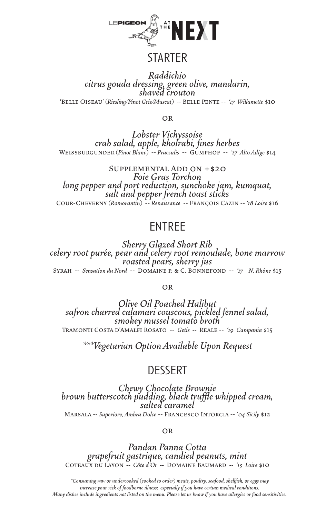

### **STARTER**

*Raddichio citrus gouda dressing, green olive, mandarin, shaved crouton* 'Belle Oiseau' *(Riesling/Pinot Gris/Muscat)* -- Belle Pente -- *'17 Willamette* \$10

**OR** 

*Lobster Vichyssoise crab salad, apple, kholrabi, fines herbes* Weissburgunder *(Pinot Blanc)* -- *Praesulis* -- Gumphof -- *'17 Alto Adige* \$14

Supplemental Add on +\$20 *Foie Gras Torchon long pepper and port reduction, sunchoke jam, kumquat, salt and pepper french toast sticks* Cour-Cheverny *(Romorantin)* -- *Renaissance* -- François Cazin -- *'18 Loire* \$16

## **ENTREE**

*Sherry Glazed Short Rib celery root purée, pear and celery root remoulade, bone marrow roasted pears, sherry jus*  Syrah -- *Sensation du Nord* -- Domaine p. & C. Bonnefond -- *'17 N. Rhône* \$15

#### or

*Olive Oil Poached Halibut safron charred calamari couscous, pickled fennel salad, smokey mussel tomato broth* Tramonti Costa d'Amalfi Rosato -- *Getis --* Reale -- *'19 Campania* \$15

*\*\*\*Vegetarian Option Available Upon Request*

## **DESSERT**

*Chewy Chocolate Brownie brown butterscotch pudding, black truffle whipped cream, salted caramel* Marsala -- *Superiore, Ambra Dolce* -- Francesco Intorcia -- '*04 Sicily* \$12

**OR** 

*Pandan Panna Cotta grapefruit gastrique, candied peanuts, mint* Coteaux du Layon *-- Côte d'Or --* Domaine Baumard *-- '15 Loire* \$10